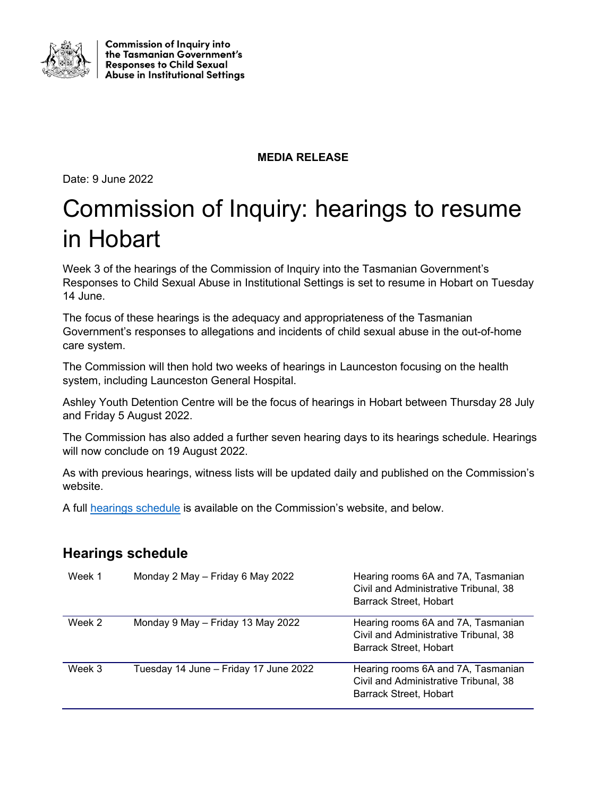

**Commission of Inquiry into** the Tasmanian Government's **Responses to Child Sexual Abuse in Institutional Settings** 

## **MEDIA RELEASE**

Date: 9 June 2022

## Commission of Inquiry: hearings to resume in Hobart

Week 3 of the hearings of the Commission of Inquiry into the Tasmanian Government's Responses to Child Sexual Abuse in Institutional Settings is set to resume in Hobart on Tuesday 14 June.

The focus of these hearings is the adequacy and appropriateness of the Tasmanian Government's responses to allegations and incidents of child sexual abuse in the out-of-home care system.

The Commission will then hold two weeks of hearings in Launceston focusing on the health system, including Launceston General Hospital.

Ashley Youth Detention Centre will be the focus of hearings in Hobart between Thursday 28 July and Friday 5 August 2022.

The Commission has also added a further seven hearing days to its hearings schedule. Hearings will now conclude on 19 August 2022.

As with previous hearings, witness lists will be updated daily and published on the Commission's website.

A full [hearings schedule](https://www.commissionofinquiry.tas.gov.au/hearings/hearings-schedule) is available on the Commission's website, and below.

## **Hearings schedule**

| Week 1 | Monday 2 May - Friday 6 May 2022      | Hearing rooms 6A and 7A, Tasmanian<br>Civil and Administrative Tribunal, 38<br>Barrack Street, Hobart        |
|--------|---------------------------------------|--------------------------------------------------------------------------------------------------------------|
| Week 2 | Monday 9 May - Friday 13 May 2022     | Hearing rooms 6A and 7A, Tasmanian<br>Civil and Administrative Tribunal, 38<br><b>Barrack Street, Hobart</b> |
| Week 3 | Tuesday 14 June – Friday 17 June 2022 | Hearing rooms 6A and 7A, Tasmanian<br>Civil and Administrative Tribunal, 38<br>Barrack Street, Hobart        |